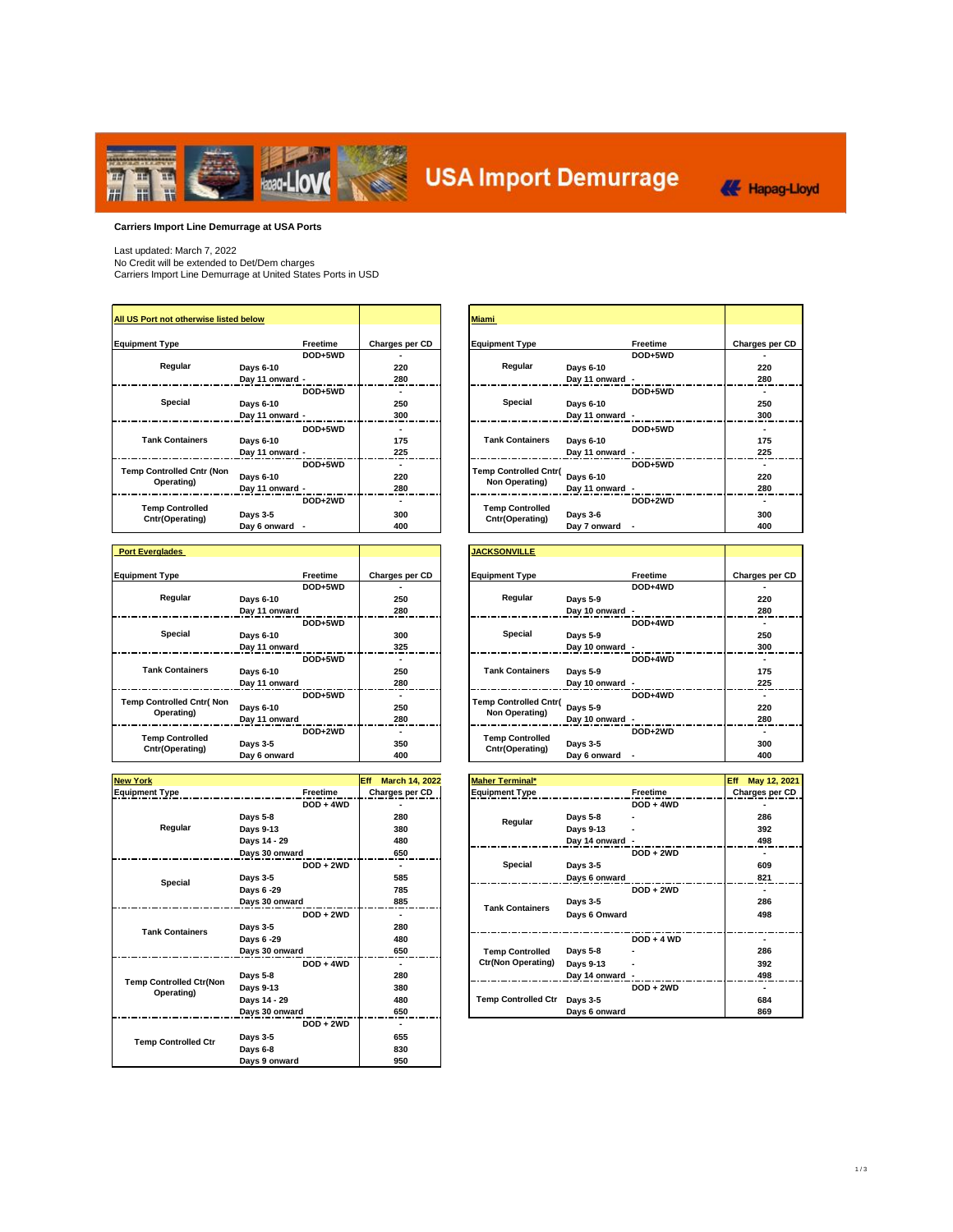

# **USA Import Demurrage**



**Carriers Import Line Demurrage at USA Ports**

Last updated: March 7, 2022 No Credit will be extended to Det/Dem charges Carriers Import Line Demurrage at United States Ports in USD

| All US Port not otherwise listed below         |                 |          |                | <b>Miami</b>                                   |                 |          |           |
|------------------------------------------------|-----------------|----------|----------------|------------------------------------------------|-----------------|----------|-----------|
| <b>Equipment Type</b>                          |                 | Freetime | Charges per CD | <b>Equipment Type</b>                          |                 | Freetime | Charges p |
|                                                |                 | DOD+5WD  |                |                                                |                 | DOD+5WD  |           |
| Regular                                        | Days 6-10       |          | 220            | Regular                                        | Days 6-10       |          | 220       |
|                                                | Day 11 onward - |          | 280            |                                                | Day 11 onward - |          | 280       |
|                                                |                 | DOD+5WD  |                |                                                |                 | DOD+5WD  |           |
| Special                                        | Davs 6-10       |          | 250            | Special                                        | Davs 6-10       |          | 250       |
|                                                | Day 11 onward - |          | 300            |                                                | Day 11 onward - |          | 300       |
|                                                |                 | DOD+5WD  |                |                                                |                 | DOD+5WD  |           |
| <b>Tank Containers</b>                         | Days 6-10       |          | 175            | <b>Tank Containers</b>                         | Days 6-10       |          | 175       |
|                                                | Day 11 onward - |          | 225            |                                                | Day 11 onward - |          | 225       |
|                                                |                 | DOD+5WD  |                |                                                |                 | DOD+5WD  |           |
| <b>Temp Controlled Cntr (Non</b><br>Operating) | Davs 6-10       |          | 220            | <b>Temp Controlled Cntr(</b><br>Non Operating) | Days 6-10       |          | 220       |
|                                                | Day 11 onward - |          | 280            |                                                | Day 11 onward - |          | 280       |
|                                                |                 | DOD+2WD  |                |                                                |                 | DOD+2WD  |           |
| <b>Temp Controlled</b><br>Cntr(Operating)      | Days 3-5        |          | 300            | <b>Temp Controlled</b><br>Cntr(Operating)      | Days 3-6        |          | 300       |
|                                                | Day 6 onward -  |          | 400            |                                                | Day 7 onward    |          | 400       |

| <b>Port Everglades</b>          |               |                 |                |
|---------------------------------|---------------|-----------------|----------------|
|                                 |               |                 |                |
| <b>Equipment Type</b>           |               | <b>Freetime</b> | Charges per CD |
|                                 |               | DOD+5WD         |                |
| Regular                         | Days 6-10     |                 | 250            |
|                                 | Day 11 onward |                 | 280            |
|                                 |               | DOD+5WD         |                |
| <b>Special</b>                  | Days 6-10     |                 | 300            |
|                                 | Day 11 onward |                 | 325            |
|                                 |               | DOD+5WD         |                |
| <b>Tank Containers</b>          | Days 6-10     |                 | 250            |
|                                 | Day 11 onward |                 | 280            |
| <b>Temp Controlled Cntr(Non</b> |               | DOD+5WD         |                |
| Operating)                      | Days 6-10     |                 | 250            |
|                                 | Day 11 onward |                 | 280            |
| <b>Temp Controlled</b>          |               | DOD+2WD         |                |
| Cntr(Operating)                 | Days 3-5      |                 | 350            |
|                                 | Day 6 onward  |                 | 400            |

| <b>New York</b>                |                 | <b>Eff</b><br><b>March 14, 2022</b> |
|--------------------------------|-----------------|-------------------------------------|
| <b>Equipment Type</b>          | <b>Freetime</b> | Charges per CD                      |
|                                | $DOD + 4WD$     |                                     |
|                                | Days 5-8        | 280                                 |
| Regular                        | Days 9-13       | 380                                 |
|                                | Days 14 - 29    | 480                                 |
|                                | Days 30 onward  | 650                                 |
|                                | $DOD + 2WD$     |                                     |
| Special                        | Days 3-5        | 585                                 |
|                                | Days 6 -29      | 785                                 |
|                                | Days 30 onward  | 885                                 |
|                                | $DOD + 2WD$     |                                     |
| <b>Tank Containers</b>         | Days 3-5        | 280                                 |
|                                | Days 6 -29      | 480                                 |
|                                | Days 30 onward  | 650                                 |
|                                | $DOD + 4WD$     |                                     |
| <b>Temp Controlled Ctr(Non</b> | Days 5-8        | 280                                 |
| Operating)                     | Days 9-13       | 380                                 |
|                                | Days 14 - 29    | 480                                 |
|                                | Days 30 onward  | 650                                 |
|                                | $DOD + 2WD$     |                                     |
| <b>Temp Controlled Ctr</b>     | Days 3-5        | 655                                 |
|                                | Days 6-8        | 830                                 |
|                                | Days 9 onward   | 950                                 |

| All US Port not otherwise listed below  |                 |          |                 |  | <b>Miami</b>           |                 |          |  |
|-----------------------------------------|-----------------|----------|-----------------|--|------------------------|-----------------|----------|--|
|                                         |                 |          |                 |  |                        |                 |          |  |
| <b>Equipment Type</b>                   |                 | Freetime | Charges per CD  |  | <b>Equipment Type</b>  |                 | Freetime |  |
|                                         |                 | DOD+5WD  |                 |  |                        |                 | DOD+5WD  |  |
| Regular                                 | Days 6-10       |          | 220             |  | Regular                | Days 6-10       |          |  |
|                                         | Dav 11 onward - |          | 280             |  |                        | Dav 11 onward - |          |  |
|                                         |                 | DOD+5WD  |                 |  |                        |                 | DOD+5WD  |  |
| Special<br>Days 6-10<br>Day 11 onward - |                 |          | 250             |  | Special                | Days 6-10       |          |  |
|                                         |                 | 300      |                 |  | Day 11 onward -        |                 |          |  |
|                                         |                 | DOD+5WD  |                 |  |                        |                 | DOD+5WD  |  |
| <b>Tank Containers</b>                  | Days 6-10       |          | 175             |  | <b>Tank Containers</b> | Davs 6-10       |          |  |
|                                         | Day 11 onward - |          | 225             |  |                        | Day 11 onward - |          |  |
|                                         |                 | DOD+5WD  |                 |  |                        |                 | DOD+5WD  |  |
| <b>Temp Controlled Cntr (Non</b>        | Days 6-10       |          | 220             |  | Temp Controlled Cntr(  | Days 6-10       |          |  |
| Operating)                              | Dav 11 onward - |          | 280             |  | Non Operating)         | Dav 11 onward - |          |  |
|                                         |                 | DOD+2WD  |                 |  |                        |                 | DOD+2WD  |  |
| <b>Temp Controlled</b>                  | Days 3-5        |          | 300             |  | <b>Temp Controlled</b> | Days 3-6        |          |  |
| Cntr(Operating)                         | Day 6 onward -  |          | $A \cap \Omega$ |  | Cntr(Operating)        | Day 7 onward    |          |  |

| <b>Port Everglades</b>                              |                 |                |     | <b>JACKSONVILLE</b>          |                 |          |                |
|-----------------------------------------------------|-----------------|----------------|-----|------------------------------|-----------------|----------|----------------|
|                                                     |                 |                |     |                              |                 |          |                |
| <b>Equipment Type</b>                               | Freetime        | Charges per CD |     | <b>Equipment Type</b>        |                 | Freetime | Charges per CD |
|                                                     | DOD+5WD         |                |     |                              |                 | DOD+4WD  |                |
| Regular                                             | Davs 6-10       | 250            |     | Regular                      | Davs 5-9        |          | 220            |
|                                                     | Day 11 onward   | 280            |     |                              | Day 10 onward - |          | 280            |
|                                                     | DOD+5WD         |                |     |                              |                 | DOD+4WD  |                |
| Special<br>Davs 6-10<br>300<br>325<br>Day 11 onward |                 |                |     | Special                      | Days 5-9        |          | 250            |
|                                                     | Day 10 onward - |                | 300 |                              |                 |          |                |
|                                                     | DOD+5WD         |                |     |                              |                 | DOD+4WD  |                |
| <b>Tank Containers</b>                              | Days 6-10       | 250            |     | <b>Tank Containers</b>       | Days 5-9        |          | 175            |
|                                                     | Day 11 onward   | 280            |     |                              | Day 10 onward - |          | 225            |
| <b>Temp Controlled Cntr(Non</b>                     | DOD+5WD         |                |     | <b>Temp Controlled Cntr(</b> |                 | DOD+4WD  |                |
| Operating)                                          | Days 6-10       | 250            |     | Non Operating)               | Days 5-9        |          | 220            |
|                                                     | Day 11 onward   | 280            |     |                              | Day 10 onward - |          | 280            |
| <b>Temp Controlled</b>                              | DOD+2WD         |                |     | <b>Temp Controlled</b>       |                 | DOD+2WD  |                |
| Cntr(Operating)                                     | Days 3-5        | 350            |     | Cntr(Operating)              | Days 3-5        |          | 300            |
|                                                     | Day 6 onward    | 400            |     |                              | Day 6 onward    |          | 400            |

| <b>New York</b>                              |                                                                                       | Eff<br>March 14, 2022    | <b>Maher Terminal*</b>     |                                                                                               |              | May 12, 2021<br>Eff      |
|----------------------------------------------|---------------------------------------------------------------------------------------|--------------------------|----------------------------|-----------------------------------------------------------------------------------------------|--------------|--------------------------|
| <b>Equipment Type</b>                        | Freetime                                                                              | Charges per CD           | <b>Equipment Type</b>      |                                                                                               | Freetime     | Charges per CD           |
|                                              | $DOD + 4WD$                                                                           |                          |                            |                                                                                               | $DOD + 4WD$  |                          |
|                                              | Days 5-8                                                                              | 280                      | Regular                    | Days 5-8                                                                                      |              | 286                      |
| Regular                                      | Days 9-13                                                                             | 380                      |                            | Days 9-13                                                                                     |              | 392                      |
|                                              | Days 14 - 29                                                                          | 480                      |                            |                                                                                               |              | 498                      |
|                                              | Days 30 onward                                                                        | 650                      |                            | Day 14 onward -<br>Special<br>Days 3-5<br>Days 6 onward<br>Days 3-5<br><b>Tank Containers</b> | $DOD + 2WD$  |                          |
|                                              | $DOD + 2WD$                                                                           | $\overline{\phantom{0}}$ |                            |                                                                                               |              | 609                      |
| Special                                      | Days 3-5                                                                              | 585                      |                            |                                                                                               |              | 821                      |
|                                              | Days 6 -29                                                                            | 785                      |                            |                                                                                               | $DOD + 2WD$  | $\blacksquare$           |
|                                              | Days 30 onward                                                                        | 885                      |                            |                                                                                               |              | 286                      |
|                                              | $DOD + 2WD$                                                                           |                          |                            | Days 6 Onward                                                                                 |              | 498                      |
|                                              | Days 3-5                                                                              | 280                      |                            |                                                                                               |              |                          |
|                                              | Davs 6-29                                                                             | 480                      |                            |                                                                                               | $DOD + 4 WD$ | $\overline{\phantom{0}}$ |
|                                              | <b>Tank Containers</b><br>650<br><b>Temp Controlled</b><br>Days 30 onward<br>Days 5-8 |                          | 286                        |                                                                                               |              |                          |
|                                              | $DOD + 4WD$                                                                           |                          | <b>Ctr(Non Operating)</b>  | Days 9-13                                                                                     |              | 392                      |
|                                              | Days 5-8                                                                              | 280                      |                            | Day 14 onward -                                                                               |              | 498                      |
| <b>Temp Controlled Ctr(Non</b><br>Operating) | Days 9-13                                                                             | 380                      |                            |                                                                                               | $DOD + 2WD$  | $\blacksquare$           |
|                                              | Days 14 - 29                                                                          | 480                      | <b>Temp Controlled Ctr</b> | Days 3-5                                                                                      |              | 684                      |
|                                              | Days 30 onward                                                                        | 650                      |                            | Days 6 onward                                                                                 |              | 869                      |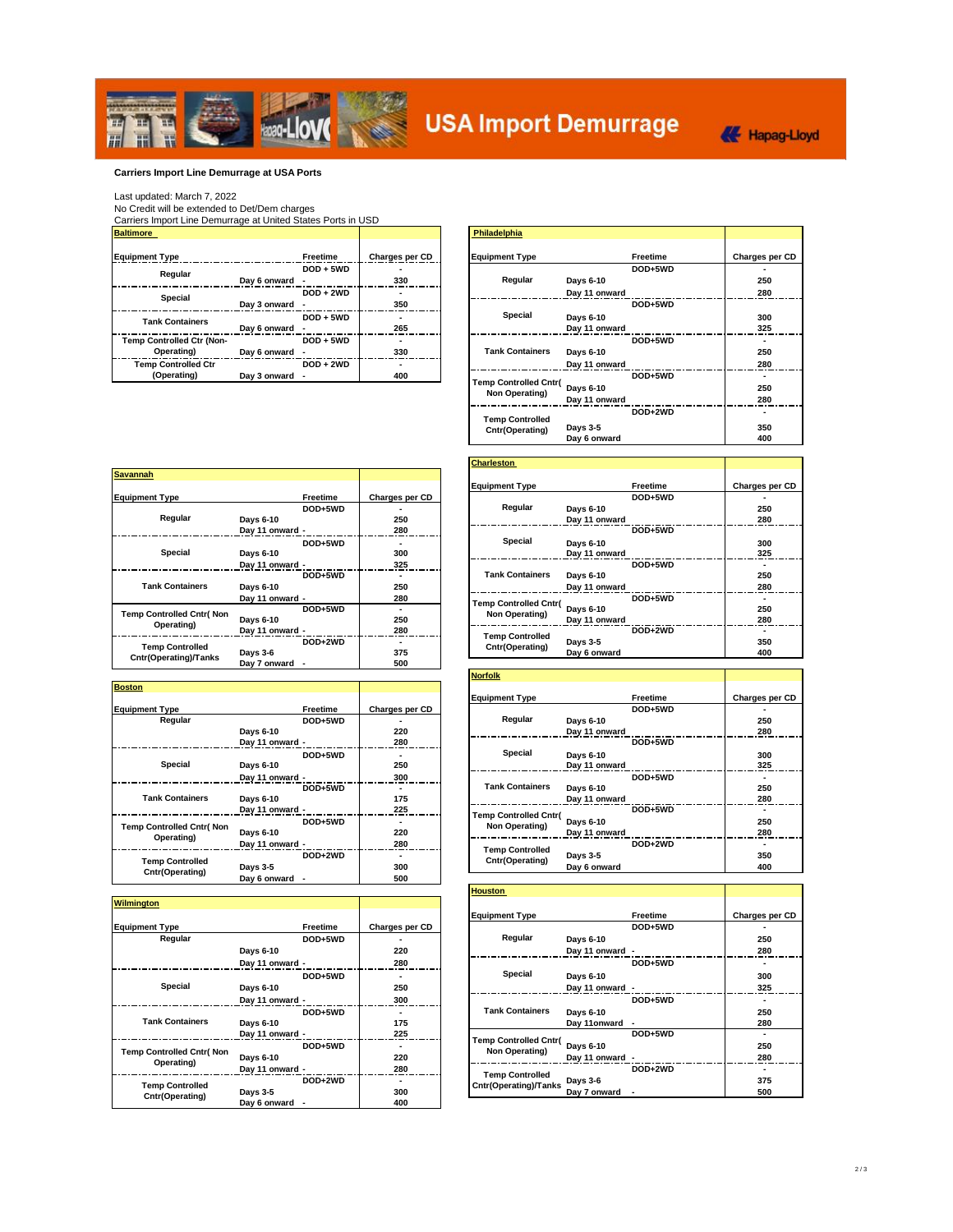

### **Carriers Import Line Demurrage at USA Ports**

Last updated: March 7, 2022<br>No Credit will be extended to Det/Dem charges<br><u>Carriers Import Line Demurrage at United States Ports in USD</u><br>Baltimore\_

| <b>Baitlmore</b>           |                 |                |
|----------------------------|-----------------|----------------|
|                            |                 |                |
| <b>Equipment Type</b>      | <b>Freetime</b> | Charges per CD |
| Regular                    | $DOD + 5WD$     |                |
|                            | Day 6 onward    | 330            |
| <b>Special</b>             | $DOD + 2WD$     |                |
|                            | Day 3 onward    | 350            |
| <b>Tank Containers</b>     | $DOD + 5WD$     |                |
|                            | Day 6 onward    | 265            |
| Temp Controlled Ctr (Non-  | $DOD + 5WD$     |                |
| Operating)                 | Day 6 onward    | 330            |
| <b>Temp Controlled Ctr</b> | $DOD + 2WD$     |                |
| (Operating)                | Day 3 onward    | 400            |

| <b>Baltimore</b>                          |                |             |                | Philadelphia                              |                            |          |                                        |
|-------------------------------------------|----------------|-------------|----------------|-------------------------------------------|----------------------------|----------|----------------------------------------|
| <b>Equipment Type</b>                     |                | Freetime    | Charges per CD | <b>Equipment Type</b>                     |                            | Freetime | Charges per CD                         |
| Regular                                   | Day 6 onward - | $DOD + 5WD$ | 330            | Regular                                   | Davs 6-10                  | DOD+5WD  | $\overline{\phantom{0}}$<br>250        |
| Special                                   | Day 3 onward - | $DOD + 2WD$ | 350            |                                           | Day 11 onward              | DOD+5WD  | 280                                    |
| <b>Tank Containers</b>                    | Day 6 onward - | $DOD + 5WD$ | 265            | Special                                   | Davs 6-10<br>Day 11 onward |          | 300<br>325                             |
| Temp Controlled Ctr (Non-<br>Operating)   | Day 6 onward - | $DOD + 5WD$ | 330            | <b>Tank Containers</b>                    | Days 6-10                  | DOD+5WD  | $\overline{\phantom{0}}$<br>250        |
| <b>Temp Controlled Ctr</b><br>(Operating) | Day 3 onward - | $DOD + 2WD$ | 400            | <b>Temp Controlled Cntr(</b>              | Day 11 onward<br>Days 6-10 | DOD+5WD  | 280<br>$\overline{\phantom{0}}$<br>250 |
|                                           |                |             | Non Operating) | Day 11 onward                             |                            | 280      |                                        |
|                                           |                |             |                | <b>Temp Controlled</b><br>Cntr(Operating) | Days 3-5<br>Day 6 onward   | DOD+2WD  | $\overline{\phantom{0}}$<br>350<br>400 |

| <b>Savannah</b>                 |                 |                |                              |               |          |           |
|---------------------------------|-----------------|----------------|------------------------------|---------------|----------|-----------|
|                                 |                 |                | <b>Equipment Type</b>        |               | Freetime | Charges p |
| <b>Equipment Type</b>           | Freetime        | Charges per CD |                              |               | DOD+5WD  |           |
|                                 | DOD+5WD         |                | Regular                      | Days 6-10     |          | 250       |
| Regular                         | Davs 6-10       | 250            |                              | Day 11 onward |          | 280       |
|                                 | Day 11 onward - | 280            |                              |               | DOD+5WD  |           |
| Special                         | DOD+5WD         |                | Special                      | Davs 6-10     |          | 300       |
|                                 | Davs 6-10       | 300            |                              | Day 11 onward |          | 325       |
|                                 | Day 11 onward - | 325            |                              |               | DOD+5WD  |           |
|                                 | DOD+5WD         |                | <b>Tank Containers</b>       | Davs 6-10     |          | 250       |
| <b>Tank Containers</b>          | Davs 6-10       | 250            |                              | Day 11 onward |          | 280       |
|                                 | Dav 11 onward - | 280            | <b>Temp Controlled Cntr(</b> |               | DOD+5WD  |           |
| <b>Temp Controlled Cntr(Non</b> | DOD+5WD         |                | Non Operating)               | Davs 6-10     |          | 250       |
| Operating)                      | Davs 6-10       | 250            |                              | Day 11 onward |          | 280       |
|                                 | Day 11 onward - | 280            | <b>Temp Controlled</b>       |               | DOD+2WD  |           |
| <b>Temp Controlled</b>          | DOD+2WD         |                | Cntr(Operating)              | Days 3-5      |          | 350       |
| Cntr(Operating)/Tanks           | Days 3-6        | 375            |                              | Day 6 onward  |          | 400       |
|                                 | Day 7 onward    | 500            |                              |               |          |           |

| <b>Boston</b>                    |                 |                |                                           |               |          |         |
|----------------------------------|-----------------|----------------|-------------------------------------------|---------------|----------|---------|
|                                  |                 |                | <b>Equipment Type</b>                     |               | Freetime | Charges |
| <b>Equipment Type</b>            | Freetime        | Charges per CD |                                           |               | DOD+5WD  |         |
| Regular                          | DOD+5WD         |                | Regular                                   | Davs 6-10     |          | 25      |
|                                  | Days 6-10       | 220            |                                           | Day 11 onward |          | 28      |
|                                  | Day 11 onward - | 280            |                                           |               | DOD+5WD  |         |
|                                  | DOD+5WD         |                | Special                                   | Days 6-10     |          | 30      |
| Special                          | Days 6-10       | 250            |                                           | Day 11 onward |          | 32      |
|                                  | Day 11 onward - | 300            |                                           |               | DOD+5WD  |         |
|                                  | DOD+5WD         |                | <b>Tank Containers</b>                    | Days 6-10     |          | 25      |
| <b>Tank Containers</b>           | Days 6-10       | 175            |                                           | Day 11 onward |          | 28      |
|                                  | Dav 11 onward - | 225            | <b>Temp Controlled Cntr(</b>              |               | DOD+5WD  |         |
| <b>Temp Controlled Cntr( Non</b> | DOD+5WD         |                | Non Operating)                            | Days 6-10     |          | 25      |
| Operating)                       | Days 6-10       | 220            |                                           | Day 11 onward |          | 28      |
|                                  | Dav 11 onward - | 280            |                                           |               | DOD+2WD  |         |
| <b>Temp Controlled</b>           | DOD+2WD         |                | <b>Temp Controlled</b><br>Cntr(Operating) | Days 3-5      |          | 35      |
| Cntr(Operating)                  | Davs 3-5        | 300            |                                           | Day 6 onward  |          | 40      |
|                                  | Dav 6 onward    | 500            |                                           |               |          |         |

| <b>Wilmington</b>         |                 |                |                              |                 |          |         |
|---------------------------|-----------------|----------------|------------------------------|-----------------|----------|---------|
|                           |                 |                | <b>Equipment Type</b>        |                 | Freetime | Charges |
| <b>Equipment Type</b>     | Freetime        | Charges per CD |                              |                 | DOD+5WD  |         |
| Regular                   | DOD+5WD         |                | Regular                      | Davs 6-10       |          | 25      |
|                           | Days 6-10       | 220            |                              | Day 11 onward - |          | 28      |
|                           | Day 11 onward - | 280            |                              |                 | DOD+5WD  |         |
| Special                   | DOD+5WD         |                | Special                      | Days 6-10       |          | 30      |
|                           | Davs 6-10       | 250            |                              | Day 11 onward - |          | 32      |
|                           | Dav 11 onward - | 300            |                              |                 | DOD+5WD  |         |
|                           | DOD+5WD         |                | <b>Tank Containers</b>       | Davs 6-10       |          | 25      |
| <b>Tank Containers</b>    | Days 6-10       | 175            |                              | Day 11 onward - |          | 28      |
|                           | Dav 11 onward - | 225            | <b>Temp Controlled Cntr(</b> |                 | DOD+5WD  |         |
| Temp Controlled Cntr( Non | DOD+5WD         |                | Non Operating)               | Days 6-10       |          | 25      |
| Operating)                | Days 6-10       | 220            |                              | Day 11 onward - |          | 28      |
|                           | Dav 11 onward - | 280            | <b>Temp Controlled</b>       |                 | DOD+2WD  |         |
| <b>Temp Controlled</b>    | DOD+2WD         |                | Cntr(Operating)/Tanks        | Days 3-6        |          | 37      |
| Cntr(Operating)           | Days 3-5        | 300            |                              | Dav 7 onward -  |          | 50      |
|                           | Dav 6 onward -  | 400            |                              |                 |          |         |

|                 |          |                | <b>Charleston</b>            |               |          |                          |
|-----------------|----------|----------------|------------------------------|---------------|----------|--------------------------|
|                 |          |                |                              |               |          |                          |
|                 |          |                | <b>Equipment Type</b>        |               | Freetime | Charges per CD           |
|                 | Freetime | Charges per CD |                              |               | DOD+5WD  |                          |
|                 | DOD+5WD  |                | Regular                      | Davs 6-10     |          | 250                      |
| Davs 6-10       |          | 250            |                              | Day 11 onward |          | 280                      |
| Day 11 onward - |          | 280            |                              |               | DOD+5WD  |                          |
|                 | DOD+5WD  |                | Special                      | Davs 6-10     |          | 300                      |
| Days 6-10       |          | 300            |                              | Day 11 onward |          | 325                      |
| Day 11 onward - |          | 325            |                              |               | DOD+5WD  |                          |
|                 | DOD+5WD  |                | <b>Tank Containers</b>       | Davs 6-10     |          | 250                      |
| Davs 6-10       |          | 250            |                              | Day 11 onward |          | 280                      |
| Day 11 onward - |          | 280            | <b>Temp Controlled Cntr(</b> |               | DOD+5WD  |                          |
|                 | DOD+5WD  |                | Non Operating)               | Davs 6-10     |          | 250                      |
| Days 6-10       |          | 250            |                              | Day 11 onward |          | 280                      |
| Day 11 onward - |          | 280            | <b>Temp Controlled</b>       |               | DOD+2WD  |                          |
|                 | DOD+2WD  |                | Cntr(Operating)              | Days 3-5      |          | 350                      |
| - - -           |          | $- - -$        |                              | .             |          | $\overline{\phantom{a}}$ |

|                                                   |                 |                | <b>Norfolk</b>                          |                |
|---------------------------------------------------|-----------------|----------------|-----------------------------------------|----------------|
|                                                   |                 |                | Freetime<br><b>Equipment Type</b>       | Charges per CD |
| Type                                              | Freetime        | Charges per CD | DOD+5WD                                 |                |
| Regular                                           | DOD+5WD         |                | Regular<br>Davs 6-10                    | 250            |
|                                                   | Days 6-10       | 220            | Day 11 onward                           | 280            |
|                                                   | Dav 11 onward - | 280            | DOD+5WD                                 |                |
|                                                   | DOD+5WD         |                | Special<br>Davs 6-10                    | 300            |
|                                                   | Days 6-10       | 250            | Day 11 onward                           | 325            |
|                                                   | Day 11 onward - | 300            | DOD+5WD                                 |                |
|                                                   | DOD+5WD         |                | <b>Tank Containers</b><br>Days 6-10     | 250            |
| <b>Containers</b>                                 | Days 6-10       | 175            | Day 11 onward                           | 280            |
| Special<br><b>itrolled Cntr( Non</b><br>perating) | Dav 11 onward - | 225            | DOD+5WD<br><b>Temp Controlled Cntr(</b> |                |
|                                                   | DOD+5WD         |                | Days 6-10<br>Non Operating)             | 250            |
|                                                   | Days 6-10       | 220            | Day 11 onward                           | 280            |
|                                                   | Day 11 onward - | 280            | DOD+2WD<br><b>Temp Controlled</b>       |                |
| <b>p Controlled</b><br>(Onerating)                | DOD+2WD         |                | Days 3-5<br>Cntr(Operating)             | 350            |
|                                                   | Days 3-5        | 300            | Day 6 onward                            | 400            |

|                                          |                 |                |  | <b>Houston</b>                                                                                     |                 |                |                          |
|------------------------------------------|-----------------|----------------|--|----------------------------------------------------------------------------------------------------|-----------------|----------------|--------------------------|
|                                          |                 |                |  |                                                                                                    |                 |                |                          |
|                                          |                 |                |  | <b>Equipment Type</b>                                                                              |                 | Freetime       | Charges per CD           |
| Type                                     | Freetime        | Charges per CD |  |                                                                                                    |                 | DOD+5WD        |                          |
| Regular                                  | DOD+5WD         |                |  | Regular                                                                                            | Days 6-10       |                | 250                      |
|                                          | Days 6-10       | 220            |  |                                                                                                    | Day 11 onward - |                | 280                      |
|                                          | Day 11 onward - | 280            |  |                                                                                                    |                 | DOD+5WD        |                          |
|                                          | DOD+5WD         |                |  | Special                                                                                            | Days 6-10       |                | 300                      |
|                                          | Days 6-10       | 250            |  |                                                                                                    | Day 11 onward - |                | 325                      |
|                                          | Day 11 onward - | 300            |  |                                                                                                    |                 | DOD+5WD        | $\overline{\phantom{0}}$ |
|                                          | DOD+5WD         |                |  | <b>Tank Containers</b><br><b>Temp Controlled Cntr(</b><br>Non Operating)<br><b>Temp Controlled</b> | Days 6-10       |                | 250                      |
| <b>Containers</b>                        | Days 6-10       | 175            |  |                                                                                                    | Day 11onward    | $\blacksquare$ | 280                      |
| Special<br>trolled Cntr(Non<br>perating) | Day 11 onward - | 225            |  |                                                                                                    |                 | DOD+5WD        |                          |
|                                          | DOD+5WD         |                |  |                                                                                                    | Days 6-10       |                | 250                      |
|                                          | Days 6-10       | 220            |  |                                                                                                    | Day 11 onward - |                | 280                      |
|                                          | Day 11 onward - | 280            |  |                                                                                                    |                 | DOD+2WD        | $\overline{\phantom{0}}$ |
| p Controlled                             | DOD+2WD         | ۰              |  | <b>Cntr(Operating)/Tanks</b>                                                                       | Days 3-6        |                | 375                      |
| (Operating)                              | Days 3-5        | 300            |  |                                                                                                    | Day 7 onward    |                | 500                      |
|                                          |                 |                |  |                                                                                                    |                 |                |                          |